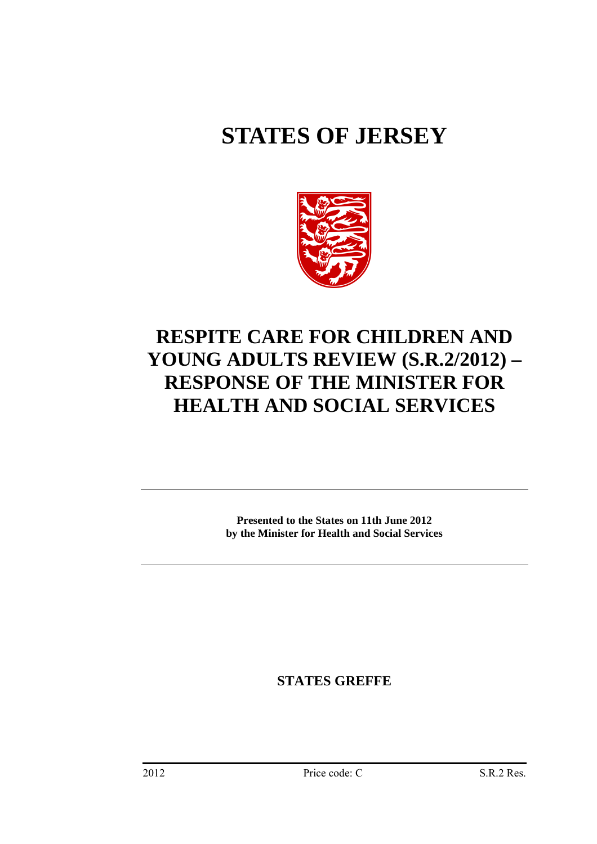# **STATES OF JERSEY**



# **RESPITE CARE FOR CHILDREN AND YOUNG ADULTS REVIEW (S.R.2/2012) – RESPONSE OF THE MINISTER FOR HEALTH AND SOCIAL SERVICES**

**Presented to the States on 11th June 2012 by the Minister for Health and Social Services** 

**STATES GREFFE**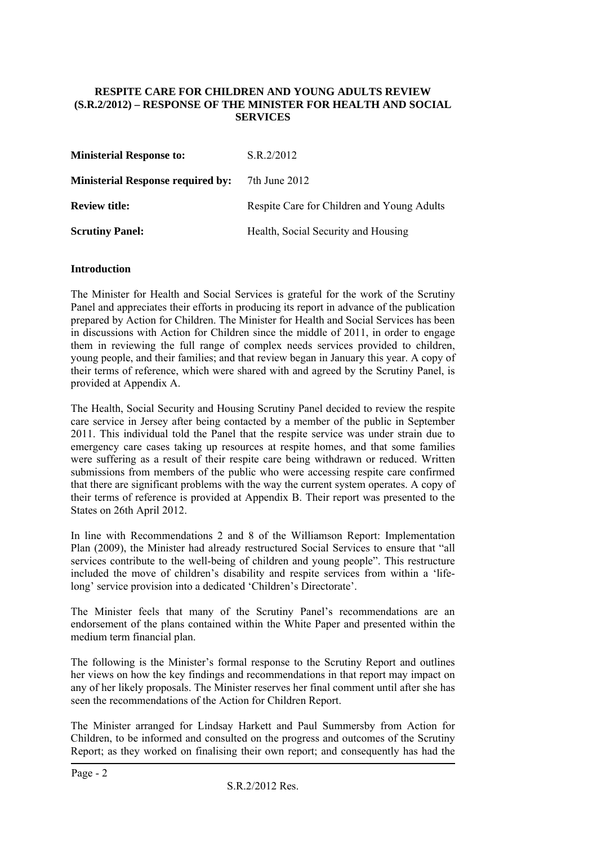#### **RESPITE CARE FOR CHILDREN AND YOUNG ADULTS REVIEW (S.R.2/2012) – RESPONSE OF THE MINISTER FOR HEALTH AND SOCIAL SERVICES**

| <b>Ministerial Response to:</b>          | S.R.2/2012                                 |
|------------------------------------------|--------------------------------------------|
| <b>Ministerial Response required by:</b> | 7th June 2012                              |
| <b>Review title:</b>                     | Respite Care for Children and Young Adults |
| <b>Scrutiny Panel:</b>                   | Health, Social Security and Housing        |

#### **Introduction**

The Minister for Health and Social Services is grateful for the work of the Scrutiny Panel and appreciates their efforts in producing its report in advance of the publication prepared by Action for Children. The Minister for Health and Social Services has been in discussions with Action for Children since the middle of 2011, in order to engage them in reviewing the full range of complex needs services provided to children, young people, and their families; and that review began in January this year. A copy of their terms of reference, which were shared with and agreed by the Scrutiny Panel, is provided at Appendix A.

The Health, Social Security and Housing Scrutiny Panel decided to review the respite care service in Jersey after being contacted by a member of the public in September 2011. This individual told the Panel that the respite service was under strain due to emergency care cases taking up resources at respite homes, and that some families were suffering as a result of their respite care being withdrawn or reduced. Written submissions from members of the public who were accessing respite care confirmed that there are significant problems with the way the current system operates. A copy of their terms of reference is provided at Appendix B. Their report was presented to the States on 26th April 2012.

In line with Recommendations 2 and 8 of the Williamson Report: Implementation Plan (2009), the Minister had already restructured Social Services to ensure that "all services contribute to the well-being of children and young people". This restructure included the move of children's disability and respite services from within a 'lifelong' service provision into a dedicated 'Children's Directorate'.

The Minister feels that many of the Scrutiny Panel's recommendations are an endorsement of the plans contained within the White Paper and presented within the medium term financial plan.

The following is the Minister's formal response to the Scrutiny Report and outlines her views on how the key findings and recommendations in that report may impact on any of her likely proposals. The Minister reserves her final comment until after she has seen the recommendations of the Action for Children Report.

The Minister arranged for Lindsay Harkett and Paul Summersby from Action for Children, to be informed and consulted on the progress and outcomes of the Scrutiny Report; as they worked on finalising their own report; and consequently has had the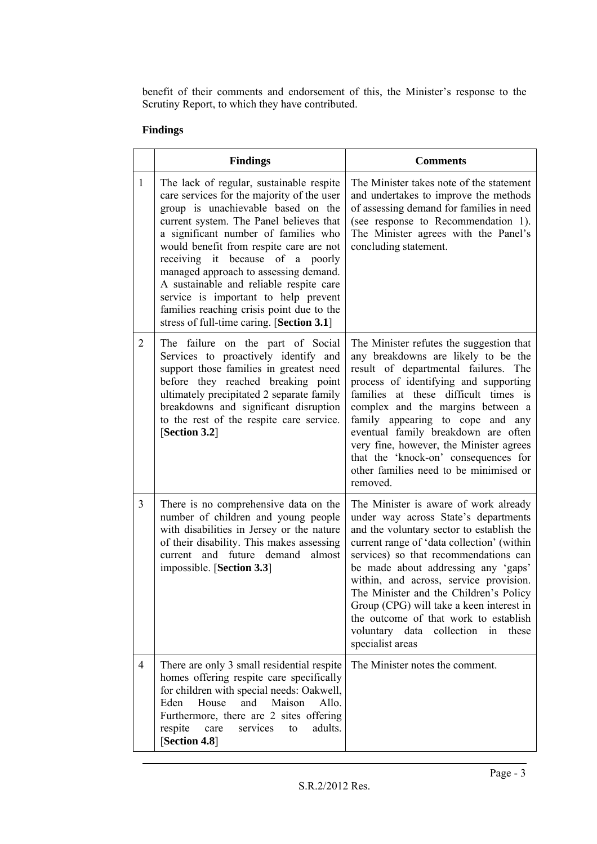benefit of their comments and endorsement of this, the Minister's response to the Scrutiny Report, to which they have contributed.

# **Findings**

|                | <b>Findings</b>                                                                                                                                                                                                                                                                                                                                                                                                                                                                                                      | <b>Comments</b>                                                                                                                                                                                                                                                                                                                                                                                                                                                                                      |
|----------------|----------------------------------------------------------------------------------------------------------------------------------------------------------------------------------------------------------------------------------------------------------------------------------------------------------------------------------------------------------------------------------------------------------------------------------------------------------------------------------------------------------------------|------------------------------------------------------------------------------------------------------------------------------------------------------------------------------------------------------------------------------------------------------------------------------------------------------------------------------------------------------------------------------------------------------------------------------------------------------------------------------------------------------|
| $\mathbf{1}$   | The lack of regular, sustainable respite<br>care services for the majority of the user<br>group is unachievable based on the<br>current system. The Panel believes that<br>a significant number of families who<br>would benefit from respite care are not<br>receiving it because of a poorly<br>managed approach to assessing demand.<br>A sustainable and reliable respite care<br>service is important to help prevent<br>families reaching crisis point due to the<br>stress of full-time caring. [Section 3.1] | The Minister takes note of the statement<br>and undertakes to improve the methods<br>of assessing demand for families in need<br>(see response to Recommendation 1).<br>The Minister agrees with the Panel's<br>concluding statement.                                                                                                                                                                                                                                                                |
| $\overline{2}$ | The failure on the part of Social<br>Services to proactively identify and<br>support those families in greatest need<br>before they reached breaking point<br>ultimately precipitated 2 separate family<br>breakdowns and significant disruption<br>to the rest of the respite care service.<br>[Section 3.2]                                                                                                                                                                                                        | The Minister refutes the suggestion that<br>any breakdowns are likely to be the<br>result of departmental failures. The<br>process of identifying and supporting<br>families at these difficult times is<br>complex and the margins between a<br>family appearing to cope and any<br>eventual family breakdown are often<br>very fine, however, the Minister agrees<br>that the 'knock-on' consequences for<br>other families need to be minimised or<br>removed.                                    |
| $\overline{3}$ | There is no comprehensive data on the<br>number of children and young people<br>with disabilities in Jersey or the nature<br>of their disability. This makes assessing<br>current and future demand almost<br>impossible. [Section 3.3]                                                                                                                                                                                                                                                                              | The Minister is aware of work already<br>under way across State's departments<br>and the voluntary sector to establish the<br>current range of 'data collection' (within<br>services) so that recommendations can<br>be made about addressing any 'gaps'<br>within, and across, service provision.<br>The Minister and the Children's Policy<br>Group (CPG) will take a keen interest in<br>the outcome of that work to establish<br>voluntary data<br>collection<br>these<br>in<br>specialist areas |
| $\overline{4}$ | There are only 3 small residential respite<br>homes offering respite care specifically<br>for children with special needs: Oakwell,<br>House<br>and<br>Maison<br>Allo.<br>Eden<br>Furthermore, there are 2 sites offering<br>care<br>services<br>adults.<br>respite<br>to<br>[Section 4.8]                                                                                                                                                                                                                           | The Minister notes the comment.                                                                                                                                                                                                                                                                                                                                                                                                                                                                      |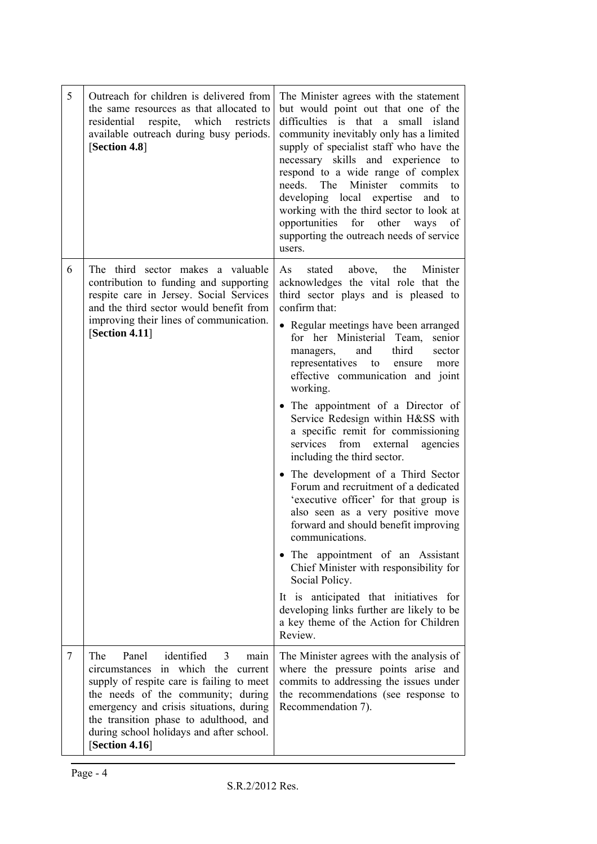| 5 | Outreach for children is delivered from<br>the same resources as that allocated to<br>which<br>residential<br>respite,<br>restricts<br>available outreach during busy periods.<br>[Section 4.8]                                                                                                                        | The Minister agrees with the statement<br>but would point out that one of the<br>difficulties is that<br>small<br>a a<br>island<br>community inevitably only has a limited<br>supply of specialist staff who have the<br>necessary skills and experience to<br>respond to a wide range of complex<br>needs. The Minister commits<br>to<br>developing local expertise and<br>to<br>working with the third sector to look at<br>opportunities for other ways<br>of<br>supporting the outreach needs of service<br>users.                                                                                                                                                                                                                                                                                                                                                                                                                                                                                                |
|---|------------------------------------------------------------------------------------------------------------------------------------------------------------------------------------------------------------------------------------------------------------------------------------------------------------------------|-----------------------------------------------------------------------------------------------------------------------------------------------------------------------------------------------------------------------------------------------------------------------------------------------------------------------------------------------------------------------------------------------------------------------------------------------------------------------------------------------------------------------------------------------------------------------------------------------------------------------------------------------------------------------------------------------------------------------------------------------------------------------------------------------------------------------------------------------------------------------------------------------------------------------------------------------------------------------------------------------------------------------|
| 6 | The third sector makes a valuable<br>contribution to funding and supporting<br>respite care in Jersey. Social Services<br>and the third sector would benefit from<br>improving their lines of communication.<br>[Section 4.11]                                                                                         | stated above, the Minister<br>As<br>acknowledges the vital role that the<br>third sector plays and is pleased to<br>confirm that:<br>• Regular meetings have been arranged<br>for her Ministerial Team,<br>senior<br>and<br>third<br>sector<br>managers,<br>representatives<br>to<br>ensure<br>more<br>effective communication and joint<br>working.<br>• The appointment of a Director of<br>Service Redesign within H&SS with<br>a specific remit for commissioning<br>from<br>services<br>external<br>agencies<br>including the third sector.<br>• The development of a Third Sector<br>Forum and recruitment of a dedicated<br>'executive officer' for that group is<br>also seen as a very positive move<br>forward and should benefit improving<br>communications.<br>• The appointment of an Assistant<br>Chief Minister with responsibility for<br>Social Policy.<br>It is anticipated that initiatives for<br>developing links further are likely to be<br>a key theme of the Action for Children<br>Review. |
| 7 | Panel<br>identified<br>The<br>3<br>main<br>circumstances in which the<br>current<br>supply of respite care is failing to meet<br>the needs of the community; during<br>emergency and crisis situations, during<br>the transition phase to adulthood, and<br>during school holidays and after school.<br>[Section 4.16] | The Minister agrees with the analysis of<br>where the pressure points arise and<br>commits to addressing the issues under<br>the recommendations (see response to<br>Recommendation 7).                                                                                                                                                                                                                                                                                                                                                                                                                                                                                                                                                                                                                                                                                                                                                                                                                               |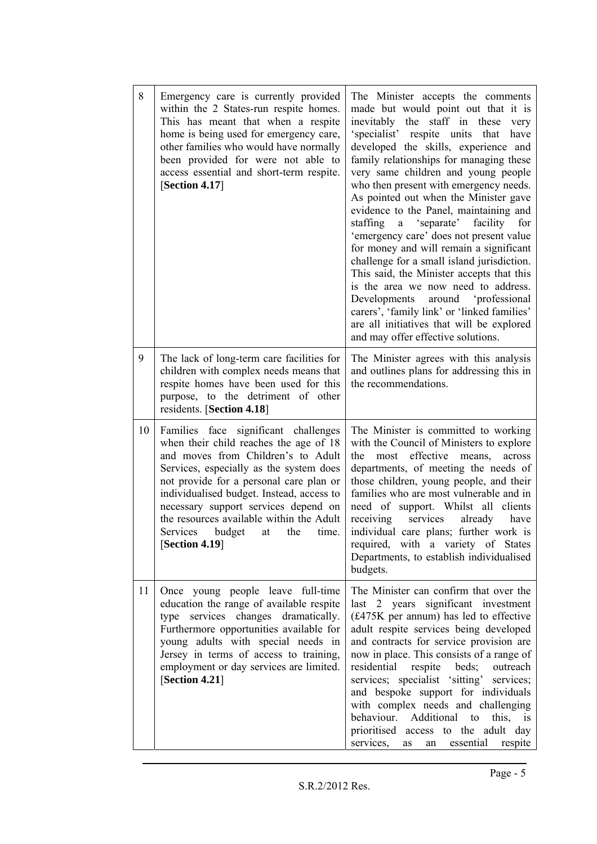| 8  | Emergency care is currently provided<br>within the 2 States-run respite homes.<br>This has meant that when a respite<br>home is being used for emergency care,<br>other families who would have normally<br>been provided for were not able to<br>access essential and short-term respite.<br>[Section 4.17]                                                                                       | made but would point out that it is<br>inevitably the staff in these<br>very<br>'specialist' respite units<br>that<br>have<br>developed the skills, experience and<br>family relationships for managing these<br>very same children and young people<br>who then present with emergency needs.<br>As pointed out when the Minister gave<br>evidence to the Panel, maintaining and<br>staffing<br>a 'separate' facility for<br>'emergency care' does not present value<br>for money and will remain a significant<br>challenge for a small island jurisdiction.<br>This said, the Minister accepts that this<br>is the area we now need to address.<br>Developments<br>around 'professional<br>carers', 'family link' or 'linked families'<br>are all initiatives that will be explored<br>and may offer effective solutions. |  |
|----|----------------------------------------------------------------------------------------------------------------------------------------------------------------------------------------------------------------------------------------------------------------------------------------------------------------------------------------------------------------------------------------------------|------------------------------------------------------------------------------------------------------------------------------------------------------------------------------------------------------------------------------------------------------------------------------------------------------------------------------------------------------------------------------------------------------------------------------------------------------------------------------------------------------------------------------------------------------------------------------------------------------------------------------------------------------------------------------------------------------------------------------------------------------------------------------------------------------------------------------|--|
| 9  | The lack of long-term care facilities for<br>children with complex needs means that<br>respite homes have been used for this<br>purpose, to the detriment of other<br>residents. [Section 4.18]                                                                                                                                                                                                    | The Minister agrees with this analysis<br>and outlines plans for addressing this in<br>the recommendations.                                                                                                                                                                                                                                                                                                                                                                                                                                                                                                                                                                                                                                                                                                                  |  |
| 10 | Families face significant challenges<br>when their child reaches the age of 18<br>and moves from Children's to Adult<br>Services, especially as the system does<br>not provide for a personal care plan or<br>individualised budget. Instead, access to<br>necessary support services depend on<br>the resources available within the Adult<br>budget at the<br>Services<br>time<br>[Section 4.19] | The Minister is committed to working<br>with the Council of Ministers to explore<br>most effective<br>the<br>means,<br>across<br>departments, of meeting the needs of<br>those children, young people, and their<br>families who are most vulnerable and in<br>need of support. Whilst all clients<br>receiving<br>services<br>already<br>have<br>individual care plans; further work is<br>required, with a variety of States<br>Departments, to establish individualised<br>budgets.                                                                                                                                                                                                                                                                                                                                       |  |
| 11 | Once young people leave full-time<br>education the range of available respite<br>type services changes dramatically.<br>Furthermore opportunities available for<br>young adults with special needs in<br>Jersey in terms of access to training,<br>employment or day services are limited.<br>[Section 4.21]                                                                                       | The Minister can confirm that over the<br>last 2 years significant investment<br>(£475K per annum) has led to effective<br>adult respite services being developed<br>and contracts for service provision are<br>now in place. This consists of a range of<br>residential respite beds; outreach<br>services; specialist 'sitting' services;<br>and bespoke support for individuals<br>with complex needs and challenging<br>behaviour. Additional to<br>this, is<br>prioritised access to the adult day<br>essential<br>services,<br>respite<br>as<br>an                                                                                                                                                                                                                                                                     |  |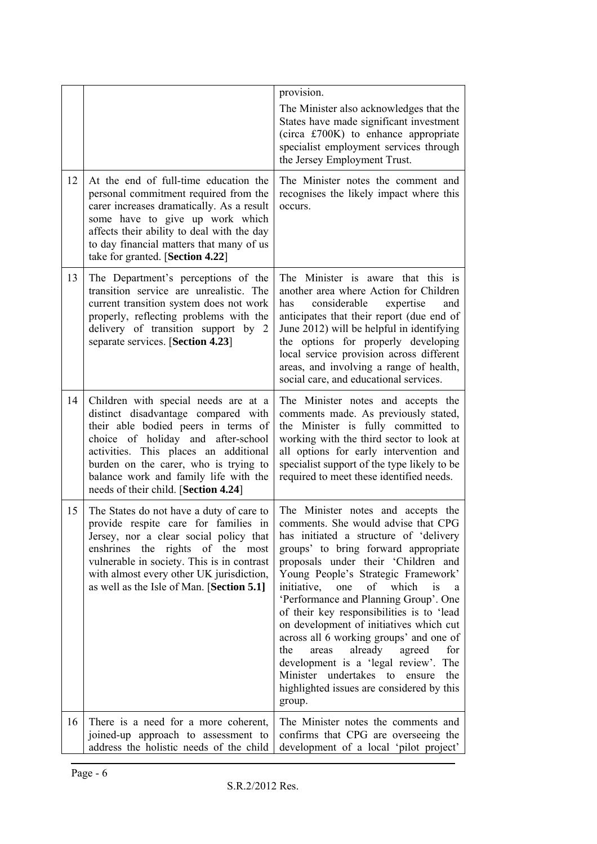|    |                                                                                                                                                                                                                                                                                                                             | provision.<br>The Minister also acknowledges that the<br>States have made significant investment<br>(circa £700K) to enhance appropriate<br>specialist employment services through<br>the Jersey Employment Trust.                                                                                                                                                                                                                                                                                                                                                                                                                                                |
|----|-----------------------------------------------------------------------------------------------------------------------------------------------------------------------------------------------------------------------------------------------------------------------------------------------------------------------------|-------------------------------------------------------------------------------------------------------------------------------------------------------------------------------------------------------------------------------------------------------------------------------------------------------------------------------------------------------------------------------------------------------------------------------------------------------------------------------------------------------------------------------------------------------------------------------------------------------------------------------------------------------------------|
| 12 | At the end of full-time education the<br>personal commitment required from the<br>carer increases dramatically. As a result<br>some have to give up work which<br>affects their ability to deal with the day<br>to day financial matters that many of us<br>take for granted. [Section 4.22]                                | The Minister notes the comment and<br>recognises the likely impact where this<br>occurs.                                                                                                                                                                                                                                                                                                                                                                                                                                                                                                                                                                          |
| 13 | The Department's perceptions of the<br>transition service are unrealistic. The<br>current transition system does not work<br>properly, reflecting problems with the<br>delivery of transition support by 2<br>separate services. [Section 4.23]                                                                             | The Minister is aware that this is<br>another area where Action for Children<br>considerable<br>has<br>expertise<br>and<br>anticipates that their report (due end of<br>June 2012) will be helpful in identifying<br>the options for properly developing<br>local service provision across different<br>areas, and involving a range of health,<br>social care, and educational services.                                                                                                                                                                                                                                                                         |
| 14 | Children with special needs are at a<br>distinct disadvantage compared with<br>their able bodied peers in terms of<br>choice of holiday and after-school<br>activities. This places an additional<br>burden on the carer, who is trying to<br>balance work and family life with the<br>needs of their child. [Section 4.24] | The Minister notes and accepts the<br>comments made. As previously stated,<br>the Minister is fully committed to<br>working with the third sector to look at<br>all options for early intervention and<br>specialist support of the type likely to be<br>required to meet these identified needs.                                                                                                                                                                                                                                                                                                                                                                 |
| 15 | The States do not have a duty of care to<br>provide respite care for families in<br>Jersey, nor a clear social policy that<br>enshrines the rights of the<br>most<br>vulnerable in society. This is in contrast<br>with almost every other UK jurisdiction,<br>as well as the Isle of Man. [Section 5.1]                    | The Minister notes and accepts the<br>comments. She would advise that CPG<br>has initiated a structure of 'delivery<br>groups' to bring forward appropriate<br>proposals under their 'Children and<br>Young People's Strategic Framework'<br>of<br>which<br>is<br>initiative,<br>one<br>a<br>'Performance and Planning Group'. One<br>of their key responsibilities is to 'lead<br>on development of initiatives which cut<br>across all 6 working groups' and one of<br>already<br>the<br>agreed<br>for<br>areas<br>development is a 'legal review'. The<br>Minister<br>undertakes<br>the<br>to<br>ensure<br>highlighted issues are considered by this<br>group. |
| 16 | There is a need for a more coherent,<br>joined-up approach to assessment to<br>address the holistic needs of the child                                                                                                                                                                                                      | The Minister notes the comments and<br>confirms that CPG are overseeing the<br>development of a local 'pilot project'                                                                                                                                                                                                                                                                                                                                                                                                                                                                                                                                             |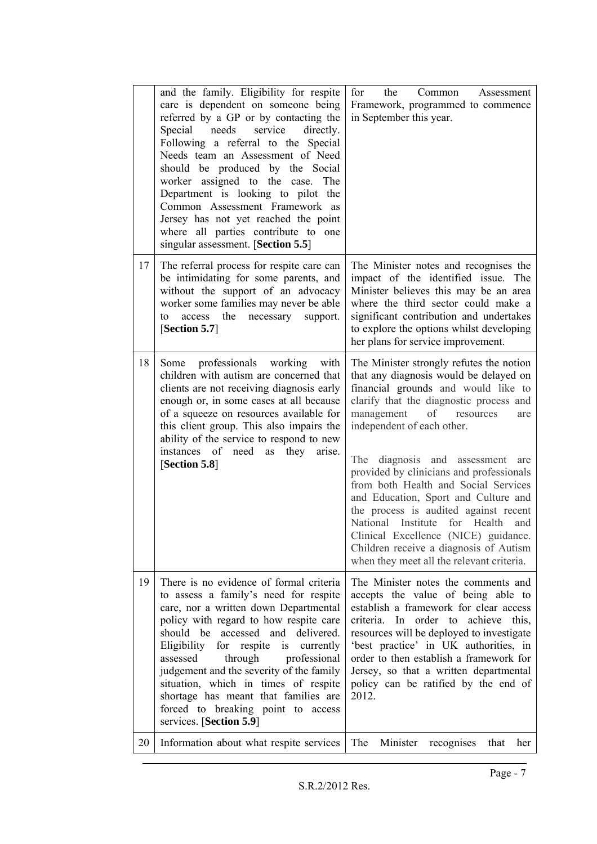|    | and the family. Eligibility for respite<br>care is dependent on someone being<br>referred by a GP or by contacting the<br>needs<br>service<br>Special<br>directly.<br>Following a referral to the Special<br>Needs team an Assessment of Need<br>should be produced by the Social<br>worker assigned to the case. The<br>Department is looking to pilot the<br>Common Assessment Framework as<br>Jersey has not yet reached the point<br>where all parties contribute to one<br>singular assessment. [Section 5.5] | for<br>the<br>Common<br>Assessment<br>Framework, programmed to commence<br>in September this year.                                                                                                                                                                                                                                                                                                                                                                                                                                                                                                                               |
|----|--------------------------------------------------------------------------------------------------------------------------------------------------------------------------------------------------------------------------------------------------------------------------------------------------------------------------------------------------------------------------------------------------------------------------------------------------------------------------------------------------------------------|----------------------------------------------------------------------------------------------------------------------------------------------------------------------------------------------------------------------------------------------------------------------------------------------------------------------------------------------------------------------------------------------------------------------------------------------------------------------------------------------------------------------------------------------------------------------------------------------------------------------------------|
| 17 | The referral process for respite care can<br>be intimidating for some parents, and<br>without the support of an advocacy<br>worker some families may never be able<br>the<br>necessary<br>support.<br>access<br>to<br>[Section 5.7]                                                                                                                                                                                                                                                                                | The Minister notes and recognises the<br>impact of the identified issue. The<br>Minister believes this may be an area<br>where the third sector could make a<br>significant contribution and undertakes<br>to explore the options whilst developing<br>her plans for service improvement.                                                                                                                                                                                                                                                                                                                                        |
| 18 | professionals working<br>Some<br>with<br>children with autism are concerned that<br>clients are not receiving diagnosis early<br>enough or, in some cases at all because<br>of a squeeze on resources available for<br>this client group. This also impairs the<br>ability of the service to respond to new<br>instances of need as<br>they<br>arise.<br>[Section 5.8]                                                                                                                                             | The Minister strongly refutes the notion<br>that any diagnosis would be delayed on<br>financial grounds and would like to<br>clarify that the diagnostic process and<br>management<br>resources<br>of<br>are<br>independent of each other.<br>The diagnosis and assessment<br>are<br>provided by clinicians and professionals<br>from both Health and Social Services<br>and Education, Sport and Culture and<br>the process is audited against recent<br>National Institute<br>for Health<br>and<br>Clinical Excellence (NICE) guidance.<br>Children receive a diagnosis of Autism<br>when they meet all the relevant criteria. |
| 19 | There is no evidence of formal criteria<br>to assess a family's need for respite<br>care, nor a written down Departmental<br>policy with regard to how respite care<br>should be accessed and delivered.<br>Eligibility for respite<br>is<br>currently<br>assessed<br>through<br>professional<br>judgement and the severity of the family<br>situation, which in times of respite<br>shortage has meant that families are<br>forced to breaking point to access<br>services. [Section 5.9]                         | The Minister notes the comments and<br>accepts the value of being able to<br>establish a framework for clear access<br>achieve this,<br>criteria. In order to<br>resources will be deployed to investigate<br>'best practice' in UK authorities, in<br>order to then establish a framework for<br>Jersey, so that a written departmental<br>policy can be ratified by the end of<br>2012.                                                                                                                                                                                                                                        |
| 20 | Information about what respite services                                                                                                                                                                                                                                                                                                                                                                                                                                                                            | The<br>Minister<br>recognises<br>that<br>her                                                                                                                                                                                                                                                                                                                                                                                                                                                                                                                                                                                     |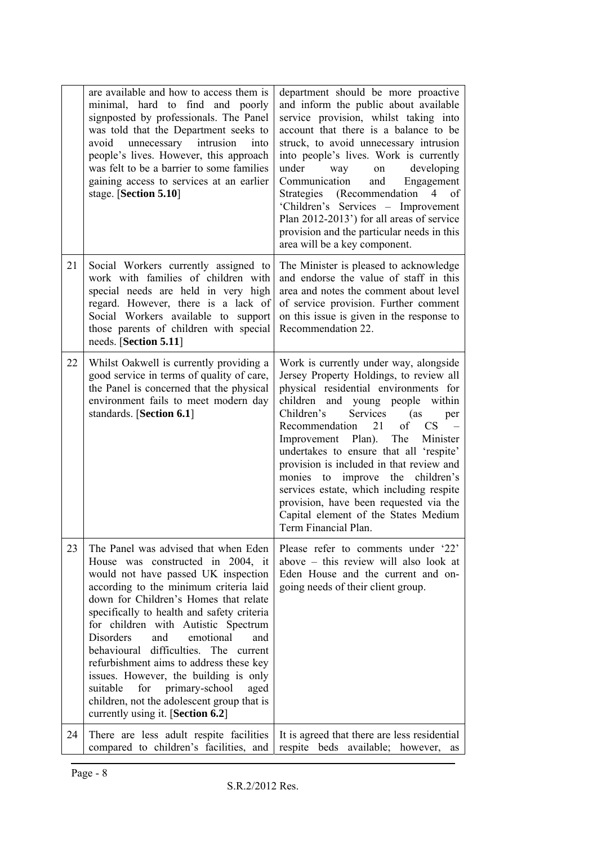|    | are available and how to access them is<br>minimal, hard to find and poorly<br>signposted by professionals. The Panel<br>was told that the Department seeks to<br>intrusion<br>avoid<br>unnecessary<br>into<br>people's lives. However, this approach<br>was felt to be a barrier to some families<br>gaining access to services at an earlier<br>stage. [Section 5.10]                                                                                                                                                                                                                              | department should be more proactive<br>and inform the public about available<br>service provision, whilst taking into<br>account that there is a balance to be<br>struck, to avoid unnecessary intrusion<br>into people's lives. Work is currently<br>developing<br>under<br>way<br>on<br>Communication<br>and<br>Engagement<br>Strategies (Recommendation<br>$\overline{4}$<br>of<br>'Children's Services - Improvement<br>Plan 2012-2013') for all areas of service<br>provision and the particular needs in this<br>area will be a key component.                          |
|----|------------------------------------------------------------------------------------------------------------------------------------------------------------------------------------------------------------------------------------------------------------------------------------------------------------------------------------------------------------------------------------------------------------------------------------------------------------------------------------------------------------------------------------------------------------------------------------------------------|-------------------------------------------------------------------------------------------------------------------------------------------------------------------------------------------------------------------------------------------------------------------------------------------------------------------------------------------------------------------------------------------------------------------------------------------------------------------------------------------------------------------------------------------------------------------------------|
| 21 | Social Workers currently assigned to<br>work with families of children with<br>special needs are held in very high<br>regard. However, there is a lack of<br>Social Workers available to support<br>those parents of children with special<br>needs. [Section 5.11]                                                                                                                                                                                                                                                                                                                                  | The Minister is pleased to acknowledge<br>and endorse the value of staff in this<br>area and notes the comment about level<br>of service provision. Further comment<br>on this issue is given in the response to<br>Recommendation 22.                                                                                                                                                                                                                                                                                                                                        |
| 22 | Whilst Oakwell is currently providing a<br>good service in terms of quality of care,<br>the Panel is concerned that the physical<br>environment fails to meet modern day<br>standards. [Section 6.1]                                                                                                                                                                                                                                                                                                                                                                                                 | Work is currently under way, alongside<br>Jersey Property Holdings, to review all<br>physical residential environments for<br>children and young people<br>within<br>Services<br>Children's<br>(as<br>per<br>21<br>of<br>CS<br>Recommendation<br>Improvement Plan). The<br>Minister<br>undertakes to ensure that all 'respite'<br>provision is included in that review and<br>improve the<br>monies<br>to<br>children's<br>services estate, which including respite<br>provision, have been requested via the<br>Capital element of the States Medium<br>Term Financial Plan. |
| 23 | The Panel was advised that when Eden<br>House was constructed in 2004, it<br>would not have passed UK inspection<br>according to the minimum criteria laid<br>down for Children's Homes that relate<br>specifically to health and safety criteria<br>for children with Autistic Spectrum<br><b>Disorders</b><br>and<br>emotional<br>and<br>behavioural difficulties. The current<br>refurbishment aims to address these key<br>issues. However, the building is only<br>suitable<br>for<br>primary-school<br>aged<br>children, not the adolescent group that is<br>currently using it. [Section 6.2] | Please refer to comments under '22'<br>above – this review will also look at<br>Eden House and the current and on-<br>going needs of their client group.                                                                                                                                                                                                                                                                                                                                                                                                                      |
| 24 | There are less adult respite facilities<br>compared to children's facilities, and                                                                                                                                                                                                                                                                                                                                                                                                                                                                                                                    | It is agreed that there are less residential<br>respite<br>beds available; however,<br>as                                                                                                                                                                                                                                                                                                                                                                                                                                                                                     |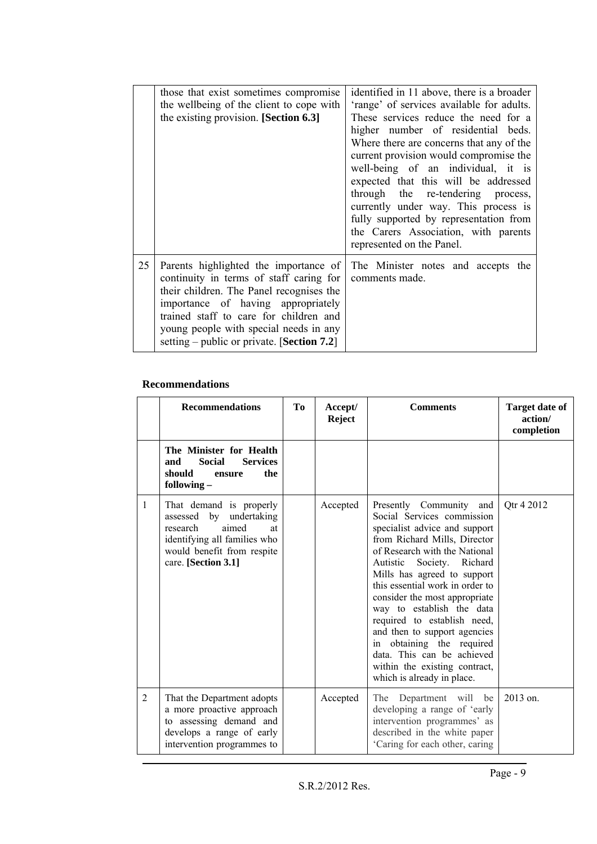|    | those that exist sometimes compromise<br>the wellbeing of the client to cope with<br>the existing provision. [Section 6.3]                                                                                                                                                                           | identified in 11 above, there is a broader<br>'range' of services available for adults.<br>These services reduce the need for a<br>higher number of residential beds.<br>Where there are concerns that any of the<br>current provision would compromise the<br>well-being of an individual, it is<br>expected that this will be addressed<br>through the re-tendering process,<br>currently under way. This process is<br>fully supported by representation from<br>the Carers Association, with parents<br>represented on the Panel. |
|----|------------------------------------------------------------------------------------------------------------------------------------------------------------------------------------------------------------------------------------------------------------------------------------------------------|---------------------------------------------------------------------------------------------------------------------------------------------------------------------------------------------------------------------------------------------------------------------------------------------------------------------------------------------------------------------------------------------------------------------------------------------------------------------------------------------------------------------------------------|
| 25 | Parents highlighted the importance of<br>continuity in terms of staff caring for<br>their children. The Panel recognises the<br>importance of having appropriately<br>trained staff to care for children and<br>young people with special needs in any<br>setting – public or private. [Section 7.2] | The Minister notes and accepts the<br>comments made.                                                                                                                                                                                                                                                                                                                                                                                                                                                                                  |

#### **Recommendations**

|   | <b>Recommendations</b>                                                                                                                                                | Tо | Accept/<br><b>Reject</b> | <b>Comments</b>                                                                                                                                                                                                                                                                                                                                                                                                                                                                                                     | <b>Target date of</b><br>action/<br>completion |
|---|-----------------------------------------------------------------------------------------------------------------------------------------------------------------------|----|--------------------------|---------------------------------------------------------------------------------------------------------------------------------------------------------------------------------------------------------------------------------------------------------------------------------------------------------------------------------------------------------------------------------------------------------------------------------------------------------------------------------------------------------------------|------------------------------------------------|
|   | The Minister for Health<br><b>Social</b><br><b>Services</b><br>and<br>should<br>the<br>ensure<br>following $-$                                                        |    |                          |                                                                                                                                                                                                                                                                                                                                                                                                                                                                                                                     |                                                |
| 1 | That demand is properly<br>by undertaking<br>assessed<br>aimed<br>research<br>at<br>identifying all families who<br>would benefit from respite<br>care. [Section 3.1] |    | Accepted                 | Presently Community and<br>Social Services commission<br>specialist advice and support<br>from Richard Mills, Director<br>of Research with the National<br>Autistic<br>Society. Richard<br>Mills has agreed to support<br>this essential work in order to<br>consider the most appropriate<br>way to establish the data<br>required to establish need,<br>and then to support agencies<br>obtaining the required<br>in<br>data. This can be achieved<br>within the existing contract,<br>which is already in place. | Qtr 4 2012                                     |
| 2 | That the Department adopts<br>a more proactive approach<br>to assessing demand and<br>develops a range of early<br>intervention programmes to                         |    | Accepted                 | The Department will<br>be<br>developing a range of 'early<br>intervention programmes' as<br>described in the white paper<br>'Caring for each other, caring                                                                                                                                                                                                                                                                                                                                                          | $2013$ on                                      |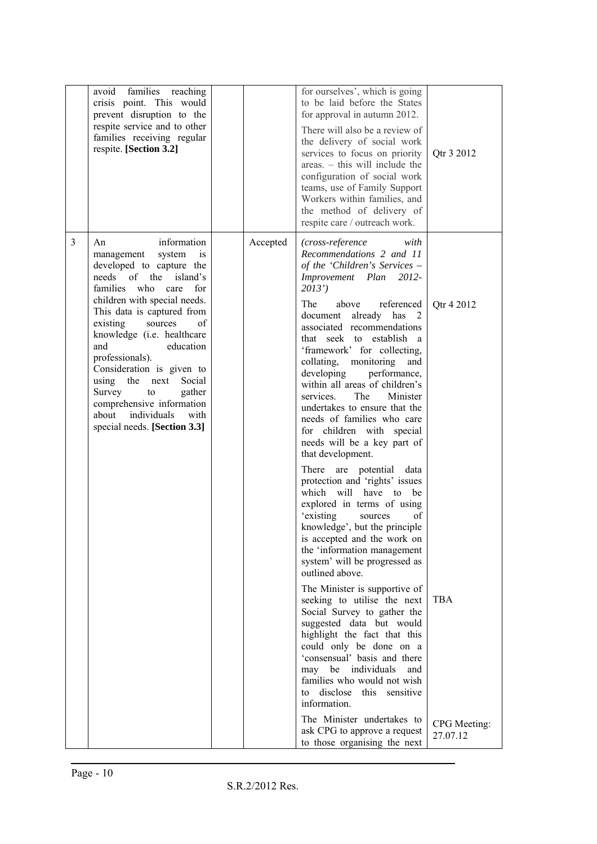|   | avoid families reaching<br>crisis point. This would<br>prevent disruption to the<br>respite service and to other<br>families receiving regular<br>respite. [Section 3.2]                                                                                                                                                                                                                                                                                                                  |          | for ourselves', which is going<br>to be laid before the States<br>for approval in autumn 2012.<br>There will also be a review of<br>the delivery of social work<br>services to focus on priority<br>areas. - this will include the<br>configuration of social work<br>teams, use of Family Support<br>Workers within families, and<br>the method of delivery of<br>respite care / outreach work.                                                                                                                                                                                                                                                                                                                                                                                                                                                                                                                                                                                                                                                                                                                                                                                                                                                     | Qtr 3 2012                               |
|---|-------------------------------------------------------------------------------------------------------------------------------------------------------------------------------------------------------------------------------------------------------------------------------------------------------------------------------------------------------------------------------------------------------------------------------------------------------------------------------------------|----------|------------------------------------------------------------------------------------------------------------------------------------------------------------------------------------------------------------------------------------------------------------------------------------------------------------------------------------------------------------------------------------------------------------------------------------------------------------------------------------------------------------------------------------------------------------------------------------------------------------------------------------------------------------------------------------------------------------------------------------------------------------------------------------------------------------------------------------------------------------------------------------------------------------------------------------------------------------------------------------------------------------------------------------------------------------------------------------------------------------------------------------------------------------------------------------------------------------------------------------------------------|------------------------------------------|
| 3 | information<br>An<br>management<br>system<br>is<br>developed to capture the<br>island's<br>needs of the<br>families<br>who<br>care<br>for<br>children with special needs.<br>This data is captured from<br>existing<br>sources<br>of<br>knowledge (i.e. healthcare<br>education<br>and<br>professionals).<br>Consideration is given to<br>using the next<br>Social<br>Survey<br>gather<br>to<br>comprehensive information<br>about<br>individuals<br>with<br>special needs. [Section 3.3] | Accepted | (cross-reference<br>with<br>Recommendations 2 and 11<br>of the 'Children's Services –<br>Improvement Plan<br>2012-<br>2013'<br>The<br>above<br>referenced<br>document already has 2<br>associated recommendations<br>that seek to establish a<br>'framework' for collecting,<br>collating, monitoring<br>and<br>developing<br>performance,<br>within all areas of children's<br>services.<br>Minister<br>The<br>undertakes to ensure that the<br>needs of families who care<br>for children with special<br>needs will be a key part of<br>that development.<br>There<br>are<br>potential<br>data<br>protection and 'rights' issues<br>which will have<br>to be<br>explored in terms of using<br>existing<br>of<br>sources<br>knowledge', but the principle<br>is accepted and the work on<br>the 'information management<br>system' will be progressed as<br>outlined above.<br>The Minister is supportive of<br>seeking to utilise the next<br>Social Survey to gather the<br>suggested data but would<br>highlight the fact that this<br>could only be done on a<br>'consensual' basis and there<br>may be individuals<br>and<br>families who would not wish<br>disclose<br>this<br>sensitive<br>to<br>information.<br>The Minister undertakes to | Qtr 4 2012<br><b>TBA</b><br>CPG Meeting: |
|   |                                                                                                                                                                                                                                                                                                                                                                                                                                                                                           |          | ask CPG to approve a request<br>to those organising the next                                                                                                                                                                                                                                                                                                                                                                                                                                                                                                                                                                                                                                                                                                                                                                                                                                                                                                                                                                                                                                                                                                                                                                                         | 27.07.12                                 |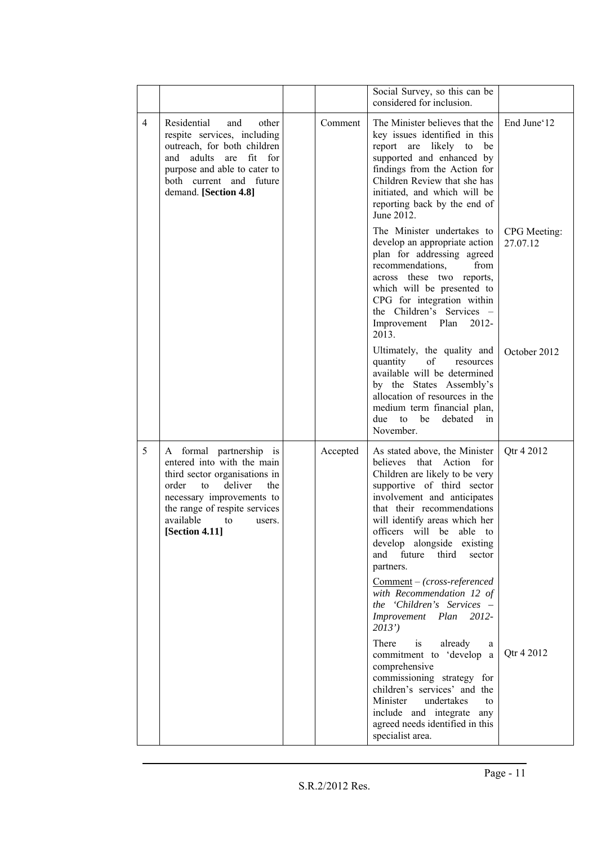|                |                                                                                                                                                                                                                                      |          | Social Survey, so this can be                                                                                                                                                                                                                                                                                                                                                                        |                          |
|----------------|--------------------------------------------------------------------------------------------------------------------------------------------------------------------------------------------------------------------------------------|----------|------------------------------------------------------------------------------------------------------------------------------------------------------------------------------------------------------------------------------------------------------------------------------------------------------------------------------------------------------------------------------------------------------|--------------------------|
|                |                                                                                                                                                                                                                                      |          | considered for inclusion.                                                                                                                                                                                                                                                                                                                                                                            |                          |
| $\overline{4}$ | Residential<br>and<br>other<br>respite services, including<br>outreach, for both children<br>adults are fit for<br>and<br>purpose and able to cater to<br>both current and future<br>demand. [Section 4.8]                           | Comment  | The Minister believes that the<br>key issues identified in this<br>report are likely to<br>be<br>supported and enhanced by<br>findings from the Action for<br>Children Review that she has<br>initiated, and which will be<br>reporting back by the end of<br>June 2012.                                                                                                                             | End June 12              |
|                |                                                                                                                                                                                                                                      |          | The Minister undertakes to<br>develop an appropriate action<br>plan for addressing agreed<br>recommendations,<br>from<br>across these two reports,<br>which will be presented to<br>CPG for integration within<br>the Children's Services -<br>Improvement Plan<br>2012-<br>2013.                                                                                                                    | CPG Meeting:<br>27.07.12 |
|                |                                                                                                                                                                                                                                      |          | Ultimately, the quality and<br>of<br>quantity<br>resources<br>available will be determined<br>by the States Assembly's<br>allocation of resources in the<br>medium term financial plan,<br>due<br>to<br>be<br>debated<br>in<br>November.                                                                                                                                                             | October 2012             |
| 5              | A formal partnership is<br>entered into with the main<br>third sector organisations in<br>deliver<br>order<br>to<br>the<br>necessary improvements to<br>the range of respite services<br>available<br>to<br>users.<br>[Section 4.11] | Accepted | As stated above, the Minister<br>believes<br>that Action<br>for<br>Children are likely to be very<br>supportive of third sector<br>involvement and anticipates<br>that their recommendations<br>will identify areas which her<br>officers will be able to<br>develop alongside existing<br>future<br>third<br>and<br>sector<br>partners.<br>Comment - (cross-referenced<br>with Recommendation 12 of | Qtr 4 2012               |
|                |                                                                                                                                                                                                                                      |          | the 'Children's Services –<br>Improvement<br>Plan<br>2012-<br>2013'                                                                                                                                                                                                                                                                                                                                  |                          |
|                |                                                                                                                                                                                                                                      |          | There<br>already<br>is<br>a<br>commitment to 'develop a<br>comprehensive<br>commissioning strategy for<br>children's services' and the<br>Minister<br>undertakes<br>to<br>include and integrate any<br>agreed needs identified in this<br>specialist area.                                                                                                                                           | Qtr 4 2012               |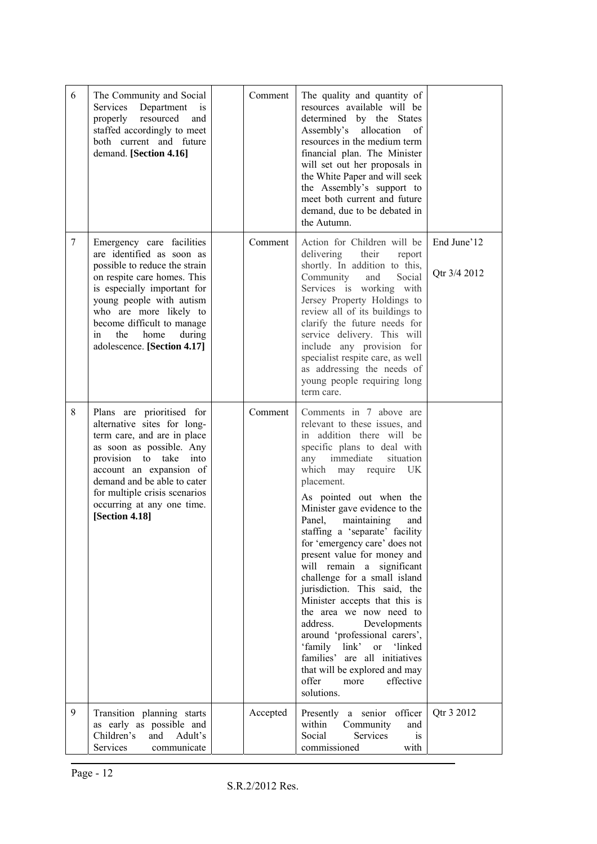| 6 | The Community and Social<br>Services<br>Department<br>1S<br>properly resourced<br>and<br>staffed accordingly to meet<br>both current and future<br>demand. [Section 4.16]                                                                                                                               | Comment  | The quality and quantity of<br>resources available will be<br>determined by the States<br>Assembly's allocation<br>of<br>resources in the medium term<br>financial plan. The Minister<br>will set out her proposals in<br>the White Paper and will seek<br>the Assembly's support to<br>meet both current and future<br>demand, due to be debated in<br>the Autumn.                                                                                                                                                                                                                                                                                                                                                                                          |                             |
|---|---------------------------------------------------------------------------------------------------------------------------------------------------------------------------------------------------------------------------------------------------------------------------------------------------------|----------|--------------------------------------------------------------------------------------------------------------------------------------------------------------------------------------------------------------------------------------------------------------------------------------------------------------------------------------------------------------------------------------------------------------------------------------------------------------------------------------------------------------------------------------------------------------------------------------------------------------------------------------------------------------------------------------------------------------------------------------------------------------|-----------------------------|
| 7 | Emergency care facilities<br>are identified as soon as<br>possible to reduce the strain<br>on respite care homes. This<br>is especially important for<br>young people with autism<br>who are more likely to<br>become difficult to manage<br>the<br>home<br>in<br>during<br>adolescence. [Section 4.17] | Comment  | Action for Children will be<br>delivering<br>their<br>report<br>shortly. In addition to this,<br>Community<br>Social<br>and<br>Services is working with<br>Jersey Property Holdings to<br>review all of its buildings to<br>clarify the future needs for<br>service delivery. This will<br>include any provision for<br>specialist respite care, as well<br>as addressing the needs of<br>young people requiring long<br>term care.                                                                                                                                                                                                                                                                                                                          | End June'12<br>Qtr 3/4 2012 |
| 8 | Plans are prioritised for<br>alternative sites for long-<br>term care, and are in place<br>as soon as possible. Any<br>provision to take<br>into<br>account an expansion of<br>demand and be able to cater<br>for multiple crisis scenarios<br>occurring at any one time.<br>[Section 4.18]             | Comment  | Comments in 7 above are<br>relevant to these issues, and<br>in addition there will be<br>specific plans to deal with<br>immediate<br>situation<br>any<br>which may require<br>UK<br>placement.<br>As pointed out when the<br>Minister gave evidence to the<br>maintaining<br>Panel,<br>and<br>staffing a 'separate' facility<br>for 'emergency care' does not<br>present value for money and<br>will remain a significant<br>challenge for a small island<br>jurisdiction. This said, the<br>Minister accepts that this is<br>the area we now need to<br>address.<br>Developments<br>around 'professional carers',<br>'family link' or 'linked<br>families' are all initiatives<br>that will be explored and may<br>offer<br>more<br>effective<br>solutions. |                             |
| 9 | Transition planning starts<br>as early as possible and<br>Children's<br>and<br>Adult's<br>Services<br>communicate                                                                                                                                                                                       | Accepted | Presently<br>a senior officer<br>within<br>Community<br>and<br>Social<br>Services<br>is<br>commissioned<br>with                                                                                                                                                                                                                                                                                                                                                                                                                                                                                                                                                                                                                                              | Qtr 3 2012                  |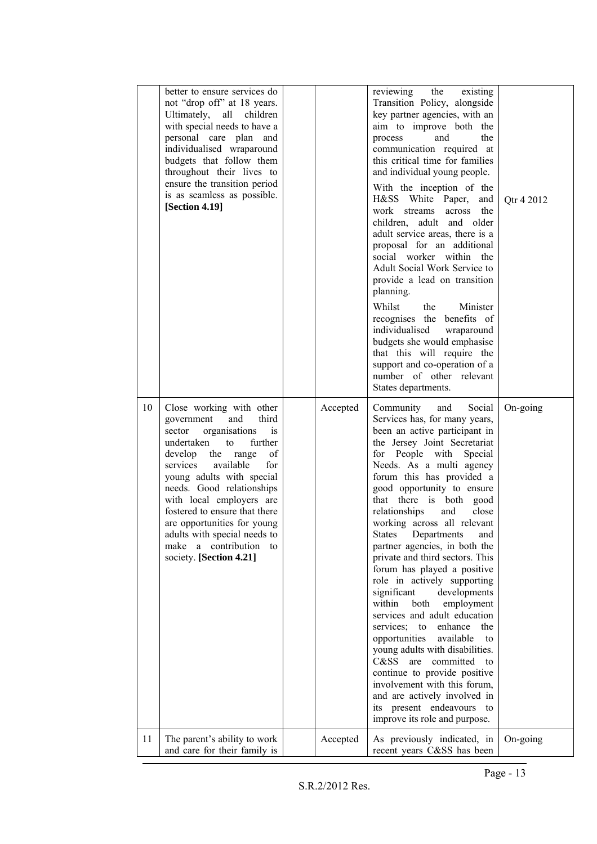| better to ensure services do<br>reviewing<br>the<br>existing<br>not "drop off" at 18 years.<br>Transition Policy, alongside<br>Ultimately, all children<br>key partner agencies, with an<br>with special needs to have a<br>aim to improve both the<br>personal care plan and<br>the<br>and<br>process<br>individualised wraparound<br>communication required at<br>this critical time for families<br>budgets that follow them<br>and individual young people.<br>throughout their lives to<br>ensure the transition period<br>With the inception of the<br>is as seamless as possible.<br>H&SS White Paper,<br>and<br>Qtr 4 2012<br>[Section 4.19]<br>across the<br>work<br>streams<br>children, adult and older<br>adult service areas, there is a<br>proposal for an additional<br>social worker within the<br>Adult Social Work Service to<br>provide a lead on transition<br>planning.<br>Whilst<br>the<br>Minister<br>recognises the benefits of<br>individualised<br>wraparound<br>budgets she would emphasise<br>that this will require the<br>support and co-operation of a<br>number of other relevant<br>States departments.<br>Close working with other<br>On-going<br>10<br>Accepted<br>Social<br>Community<br>and<br>Services has, for many years,<br>government<br>and<br>third<br>been an active participant in<br>organisations<br>sector<br>1S<br>undertaken<br>the Jersey Joint Secretariat<br>${\rm to}$<br>further<br>develop the range<br>of<br>for People with<br>Special<br>available<br>Needs. As a multi agency<br>services<br>for<br>young adults with special<br>forum this has provided a<br>needs. Good relationships<br>good opportunity to ensure<br>that there is both good<br>with local employers are<br>fostered to ensure that there<br>relationships<br>and<br>close<br>are opportunities for young<br>working across all relevant<br>adults with special needs to<br><b>States</b><br>Departments<br>and<br>a contribution<br>partner agencies, in both the<br>make<br>to<br>private and third sectors. This<br>society. [Section 4.21]<br>forum has played a positive<br>role in actively supporting<br>significant<br>developments<br>both<br>employment<br>within<br>services and adult education<br>services; to enhance<br>the<br>opportunities<br>available<br>to<br>young adults with disabilities.<br>committed<br>C&SS<br>are<br>to<br>continue to provide positive<br>involvement with this forum,<br>and are actively involved in<br>its present endeavours to<br>improve its role and purpose.<br>11<br>The parent's ability to work<br>Accepted<br>As previously indicated, in<br>On-going<br>and care for their family is<br>recent years C&SS has been |  |  |  |
|---------------------------------------------------------------------------------------------------------------------------------------------------------------------------------------------------------------------------------------------------------------------------------------------------------------------------------------------------------------------------------------------------------------------------------------------------------------------------------------------------------------------------------------------------------------------------------------------------------------------------------------------------------------------------------------------------------------------------------------------------------------------------------------------------------------------------------------------------------------------------------------------------------------------------------------------------------------------------------------------------------------------------------------------------------------------------------------------------------------------------------------------------------------------------------------------------------------------------------------------------------------------------------------------------------------------------------------------------------------------------------------------------------------------------------------------------------------------------------------------------------------------------------------------------------------------------------------------------------------------------------------------------------------------------------------------------------------------------------------------------------------------------------------------------------------------------------------------------------------------------------------------------------------------------------------------------------------------------------------------------------------------------------------------------------------------------------------------------------------------------------------------------------------------------------------------------------------------------------------------------------------------------------------------------------------------------------------------------------------------------------------------------------------------------------------------------------------------------------------------------------------------------------------------------------------------------------------------------------------------------------------------------------------------------------------------------------------|--|--|--|
|                                                                                                                                                                                                                                                                                                                                                                                                                                                                                                                                                                                                                                                                                                                                                                                                                                                                                                                                                                                                                                                                                                                                                                                                                                                                                                                                                                                                                                                                                                                                                                                                                                                                                                                                                                                                                                                                                                                                                                                                                                                                                                                                                                                                                                                                                                                                                                                                                                                                                                                                                                                                                                                                                                               |  |  |  |
|                                                                                                                                                                                                                                                                                                                                                                                                                                                                                                                                                                                                                                                                                                                                                                                                                                                                                                                                                                                                                                                                                                                                                                                                                                                                                                                                                                                                                                                                                                                                                                                                                                                                                                                                                                                                                                                                                                                                                                                                                                                                                                                                                                                                                                                                                                                                                                                                                                                                                                                                                                                                                                                                                                               |  |  |  |
|                                                                                                                                                                                                                                                                                                                                                                                                                                                                                                                                                                                                                                                                                                                                                                                                                                                                                                                                                                                                                                                                                                                                                                                                                                                                                                                                                                                                                                                                                                                                                                                                                                                                                                                                                                                                                                                                                                                                                                                                                                                                                                                                                                                                                                                                                                                                                                                                                                                                                                                                                                                                                                                                                                               |  |  |  |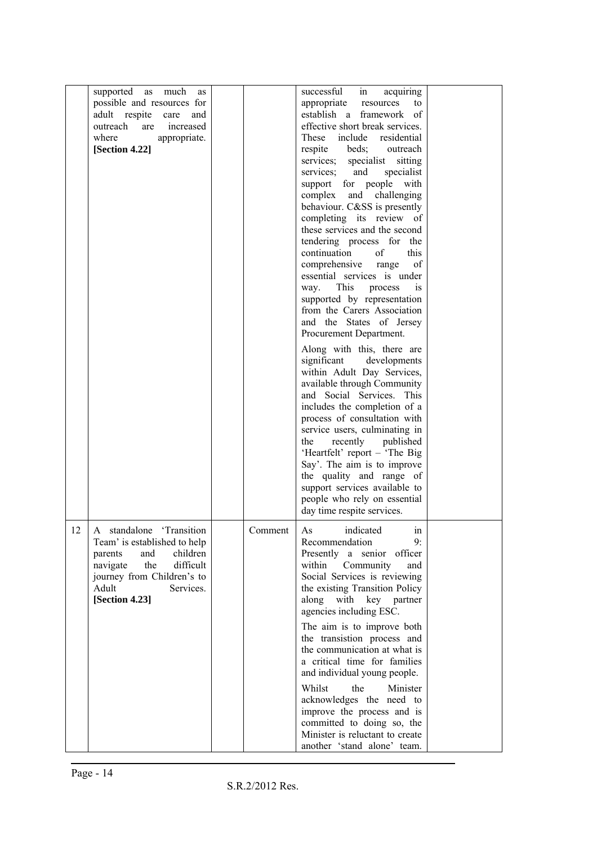|    | supported as much<br>as<br>possible and resources for<br>adult respite<br>care<br>and<br>outreach<br>increased<br>are<br>where<br>appropriate.<br>[Section 4.22]                          |         | successful<br>acquiring<br>in<br>appropriate<br>resources<br>to<br>establish a framework of<br>effective short break services.<br>These include residential<br>beds;<br>respite<br>outreach<br>services; specialist sitting<br>services; and<br>specialist<br>support for people with<br>complex and challenging<br>behaviour. C&SS is presently<br>completing its review of<br>these services and the second<br>tendering process for the<br>continuation<br>this<br>of<br>comprehensive range<br>of<br>essential services is under<br>This<br>way.<br>process<br>is<br>supported by representation<br>from the Carers Association<br>and the States of Jersey<br>Procurement Department.<br>Along with this, there are<br>significant<br>developments<br>within Adult Day Services,<br>available through Community<br>and Social Services. This<br>includes the completion of a<br>process of consultation with<br>service users, culminating in<br>recently published<br>the<br>'Heartfelt' report - 'The Big<br>Say'. The aim is to improve<br>the quality and range of<br>support services available to<br>people who rely on essential |  |
|----|-------------------------------------------------------------------------------------------------------------------------------------------------------------------------------------------|---------|----------------------------------------------------------------------------------------------------------------------------------------------------------------------------------------------------------------------------------------------------------------------------------------------------------------------------------------------------------------------------------------------------------------------------------------------------------------------------------------------------------------------------------------------------------------------------------------------------------------------------------------------------------------------------------------------------------------------------------------------------------------------------------------------------------------------------------------------------------------------------------------------------------------------------------------------------------------------------------------------------------------------------------------------------------------------------------------------------------------------------------------------|--|
| 12 | A standalone 'Transition<br>Team' is established to help<br>and<br>children<br>parents<br>navigate the<br>difficult<br>journey from Children's to<br>Adult<br>Services.<br>[Section 4.23] | Comment | day time respite services.<br>As indicated<br>1n<br>9:<br>Recommendation<br>Presently a senior officer<br>within Community<br>and<br>Social Services is reviewing<br>the existing Transition Policy<br>along with key partner<br>agencies including ESC.<br>The aim is to improve both<br>the transistion process and<br>the communication at what is<br>a critical time for families<br>and individual young people.<br>Whilst<br>the<br>Minister<br>acknowledges the need to<br>improve the process and is<br>committed to doing so, the<br>Minister is reluctant to create<br>another 'stand alone' team.                                                                                                                                                                                                                                                                                                                                                                                                                                                                                                                                 |  |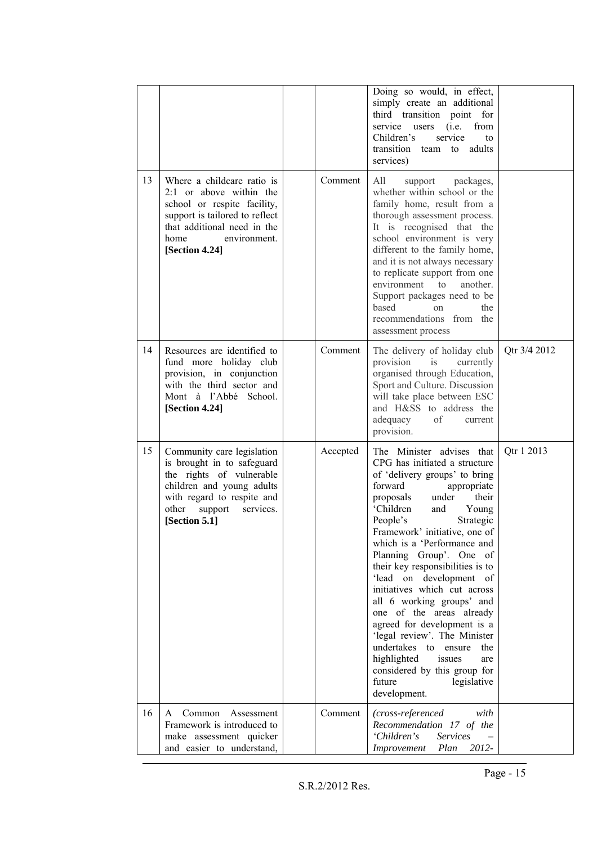|    |                                                                                                                                                                                                   |          | Doing so would, in effect,<br>simply create an additional<br>third transition point for<br>service users<br>(i.e.<br>from<br>Children's<br>service<br>to<br>transition team to<br>adults<br>services)                                                                                                                                                                                                                                                                                                                                                                                                                                                                   |              |
|----|---------------------------------------------------------------------------------------------------------------------------------------------------------------------------------------------------|----------|-------------------------------------------------------------------------------------------------------------------------------------------------------------------------------------------------------------------------------------------------------------------------------------------------------------------------------------------------------------------------------------------------------------------------------------------------------------------------------------------------------------------------------------------------------------------------------------------------------------------------------------------------------------------------|--------------|
| 13 | Where a childcare ratio is<br>$2:1$ or above within the<br>school or respite facility,<br>support is tailored to reflect<br>that additional need in the<br>home<br>environment.<br>[Section 4.24] | Comment  | All<br>packages,<br>support<br>whether within school or the<br>family home, result from a<br>thorough assessment process.<br>It is recognised that the<br>school environment is very<br>different to the family home,<br>and it is not always necessary<br>to replicate support from one<br>environment to<br>another.<br>Support packages need to be<br>based<br>the<br>on<br>recommendations from the<br>assessment process                                                                                                                                                                                                                                           |              |
| 14 | Resources are identified to<br>fund more holiday club<br>provision, in conjunction<br>with the third sector and<br>Mont à l'Abbé School.<br>[Section 4.24]                                        | Comment  | The delivery of holiday club<br>provision<br>is<br>currently<br>organised through Education,<br>Sport and Culture. Discussion<br>will take place between ESC<br>and H&SS to address the<br>adequacy<br>οf<br>current<br>provision.                                                                                                                                                                                                                                                                                                                                                                                                                                      | Otr 3/4 2012 |
| 15 | Community care legislation<br>is brought in to safeguard<br>the rights of vulnerable<br>children and young adults<br>with regard to respite and<br>other<br>support<br>services.<br>[Section 5.1] | Accepted | The Minister advises that<br>CPG has initiated a structure<br>of 'delivery groups' to bring<br>forward<br>appropriate<br>proposals<br>their<br>under<br>'Children<br>and<br>Young<br>People's<br>Strategic<br>Framework' initiative, one of<br>which is a 'Performance and<br>Planning Group'. One of<br>their key responsibilities is to<br>'lead on development of<br>initiatives which cut across<br>all 6 working groups' and<br>one of the areas already<br>agreed for development is a<br>'legal review'. The Minister<br>undertakes to<br>the<br>ensure<br>highlighted<br>issues<br>are<br>considered by this group for<br>future<br>legislative<br>development. | Qtr 1 2013   |
| 16 | Common<br>Assessment<br>A<br>Framework is introduced to<br>make assessment quicker<br>and easier to understand,                                                                                   | Comment  | (cross-referenced<br>with<br>Recommendation 17 of the<br>'Children's<br><b>Services</b><br>2012-<br>Improvement<br>Plan                                                                                                                                                                                                                                                                                                                                                                                                                                                                                                                                                 |              |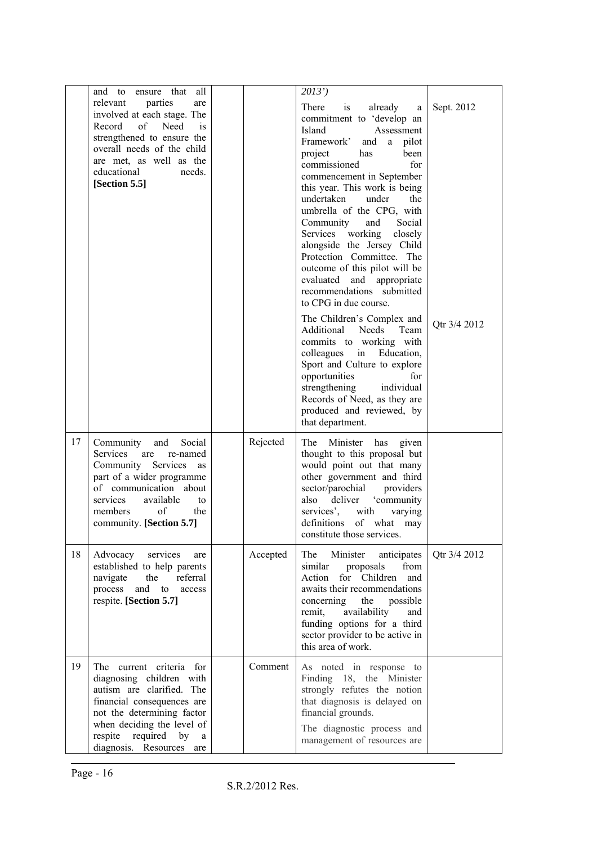|    | all<br>ensure that<br>and to                                                                                                                                                                                                           |          | 2013'                                                                                                                                                                                                                                                                                                                                                                                                                                                                                                                                                                                                                                                                                                                                                                                                                              |                            |
|----|----------------------------------------------------------------------------------------------------------------------------------------------------------------------------------------------------------------------------------------|----------|------------------------------------------------------------------------------------------------------------------------------------------------------------------------------------------------------------------------------------------------------------------------------------------------------------------------------------------------------------------------------------------------------------------------------------------------------------------------------------------------------------------------------------------------------------------------------------------------------------------------------------------------------------------------------------------------------------------------------------------------------------------------------------------------------------------------------------|----------------------------|
|    | relevant<br>parties<br>are<br>involved at each stage. The<br>Need<br>Record<br>of<br>is<br>strengthened to ensure the<br>overall needs of the child<br>are met, as well as the<br>educational<br>needs.<br>[Section 5.5]               |          | There<br>already<br>is<br>a<br>commitment to 'develop an<br>Island<br>Assessment<br>Framework'<br>a pilot<br>and<br>project<br>been<br>has<br>commissioned<br>for<br>commencement in September<br>this year. This work is being<br>undertaken<br>under<br>the<br>umbrella of the CPG, with<br>Community<br>and<br>Social<br>Services working<br>closely<br>alongside the Jersey Child<br>Protection Committee. The<br>outcome of this pilot will be<br>evaluated and appropriate<br>recommendations submitted<br>to CPG in due course.<br>The Children's Complex and<br>Additional Needs<br>Team<br>commits to working with<br>Education,<br>colleagues in<br>Sport and Culture to explore<br>opportunities<br>for<br>individual<br>strengthening<br>Records of Need, as they are<br>produced and reviewed, by<br>that department. | Sept. 2012<br>Qtr 3/4 2012 |
| 17 | Community<br>and<br>Social<br>Services<br>are<br>re-named<br>Community Services<br>as<br>part of a wider programme<br>of communication about<br>services<br>available<br>to<br>members<br>of<br>the<br>community. [Section 5.7]        | Rejected | Minister has<br>The<br>given<br>thought to this proposal but<br>would point out that many<br>other government and third<br>sector/parochial<br>providers<br>also<br>deliver 'community<br>services',<br>with<br>varying<br>definitions<br>of what may<br>constitute those services.                                                                                                                                                                                                                                                                                                                                                                                                                                                                                                                                                |                            |
| 18 | Advocacy services<br>are<br>established to help parents<br>referral<br>navigate<br>the<br>and to<br>process<br>access<br>respite. [Section 5.7]                                                                                        | Accepted | Minister<br>anticipates<br>The<br>from<br>similar<br>proposals<br>Action for Children<br>and<br>awaits their recommendations<br>concerning<br>the<br>possible<br>remit,<br>availability<br>and<br>funding options for a third<br>sector provider to be active in<br>this area of work.                                                                                                                                                                                                                                                                                                                                                                                                                                                                                                                                             | Qtr 3/4 2012               |
| 19 | The current criteria for<br>diagnosing children with<br>autism are clarified. The<br>financial consequences are<br>not the determining factor<br>when deciding the level of<br>respite required<br>by<br>a<br>diagnosis. Resources are | Comment  | As noted in response to<br>Finding 18, the Minister<br>strongly refutes the notion<br>that diagnosis is delayed on<br>financial grounds.<br>The diagnostic process and<br>management of resources are                                                                                                                                                                                                                                                                                                                                                                                                                                                                                                                                                                                                                              |                            |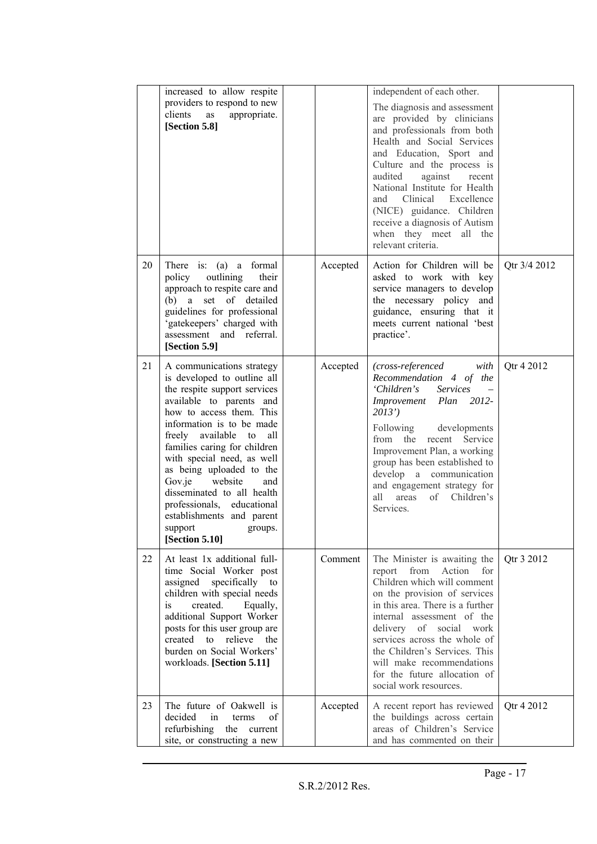|    | increased to allow respite<br>providers to respond to new<br>clients<br>appropriate.<br>as<br>[Section 5.8]                                                                                                                                                                                                                                                                                                                                                     |          | independent of each other.<br>The diagnosis and assessment<br>are provided by clinicians<br>and professionals from both<br>Health and Social Services<br>and Education, Sport and<br>Culture and the process is<br>audited<br>against<br>recent<br>National Institute for Health<br>and Clinical Excellence<br>(NICE) guidance. Children<br>receive a diagnosis of Autism<br>when they meet all the<br>relevant criteria. |              |
|----|-----------------------------------------------------------------------------------------------------------------------------------------------------------------------------------------------------------------------------------------------------------------------------------------------------------------------------------------------------------------------------------------------------------------------------------------------------------------|----------|---------------------------------------------------------------------------------------------------------------------------------------------------------------------------------------------------------------------------------------------------------------------------------------------------------------------------------------------------------------------------------------------------------------------------|--------------|
| 20 | There is: (a) a formal<br>policy<br>outlining<br>their<br>approach to respite care and<br>(b) a set of detailed<br>guidelines for professional<br>'gatekeepers' charged with<br>assessment and referral.<br>[Section 5.9]                                                                                                                                                                                                                                       | Accepted | Action for Children will be<br>asked to work with key<br>service managers to develop<br>the necessary policy and<br>guidance, ensuring that it<br>meets current national 'best<br>practice'.                                                                                                                                                                                                                              | Qtr 3/4 2012 |
| 21 | A communications strategy<br>is developed to outline all<br>the respite support services<br>available to parents and<br>how to access them. This<br>information is to be made<br>freely available to<br>all<br>families caring for children<br>with special need, as well<br>as being uploaded to the<br>Gov.je<br>website<br>and<br>disseminated to all health<br>professionals, educational<br>establishments and parent<br>support groups.<br>[Section 5.10] | Accepted | (cross-referenced<br>with<br>Recommendation 4 of the<br>'Children's<br><b>Services</b><br>Improvement Plan 2012-<br>2013'<br>Following<br>developments<br>recent Service<br>from the<br>Improvement Plan, a working<br>group has been established to<br>develop a communication<br>and engagement strategy for<br>of<br>Children's<br>all –<br>areas<br>Services.                                                         | Qtr 4 2012   |
| 22 | At least 1x additional full-<br>time Social Worker post<br>assigned specifically to<br>children with special needs<br>created.<br>Equally,<br>is<br>additional Support Worker<br>posts for this user group are<br>to<br>relieve the<br>created<br>burden on Social Workers'<br>workloads. [Section 5.11]                                                                                                                                                        | Comment  | The Minister is awaiting the<br>from<br>Action<br>for<br>report<br>Children which will comment<br>on the provision of services<br>in this area. There is a further<br>internal assessment of the<br>delivery<br>of social work<br>services across the whole of<br>the Children's Services. This<br>will make recommendations<br>for the future allocation of<br>social work resources.                                    | Qtr 3 2012   |
| 23 | The future of Oakwell is<br>decided<br>in<br>terms<br>of<br>refurbishing the<br>current<br>site, or constructing a new                                                                                                                                                                                                                                                                                                                                          | Accepted | A recent report has reviewed<br>the buildings across certain<br>areas of Children's Service<br>and has commented on their                                                                                                                                                                                                                                                                                                 | Qtr 4 2012   |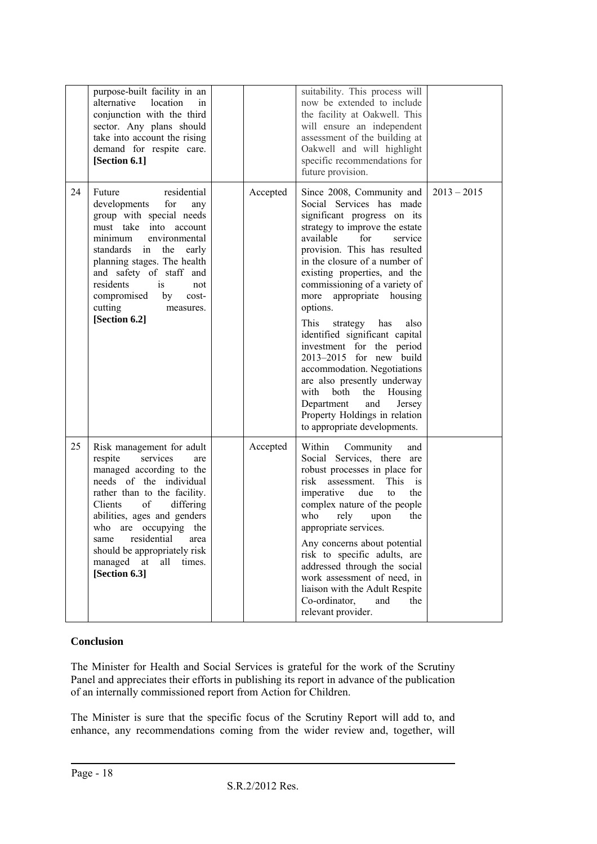|    | purpose-built facility in an<br>alternative<br>location<br>in<br>conjunction with the third<br>sector. Any plans should<br>take into account the rising<br>demand for respite care.<br>[Section 6.1]                                                                                                                                          |          | suitability. This process will<br>now be extended to include<br>the facility at Oakwell. This<br>will ensure an independent<br>assessment of the building at<br>Oakwell and will highlight<br>specific recommendations for<br>future provision.                                                                                                                                                                                                                                                                                                                                                                                                                 |               |
|----|-----------------------------------------------------------------------------------------------------------------------------------------------------------------------------------------------------------------------------------------------------------------------------------------------------------------------------------------------|----------|-----------------------------------------------------------------------------------------------------------------------------------------------------------------------------------------------------------------------------------------------------------------------------------------------------------------------------------------------------------------------------------------------------------------------------------------------------------------------------------------------------------------------------------------------------------------------------------------------------------------------------------------------------------------|---------------|
| 24 | residential<br>Future<br>developments<br>for<br>any<br>group with special needs<br>must take into account<br>minimum<br>environmental<br>standards in<br>the<br>early<br>planning stages. The health<br>and safety of staff and<br>is<br>residents<br>not<br>compromised<br>by<br>cost-<br>cutting<br>measures.<br>[Section 6.2]              | Accepted | Since 2008, Community and<br>Social Services has made<br>significant progress on its<br>strategy to improve the estate<br>available<br>for<br>service<br>provision. This has resulted<br>in the closure of a number of<br>existing properties, and the<br>commissioning of a variety of<br>appropriate housing<br>more<br>options.<br>This<br>strategy<br>has<br>also<br>identified significant capital<br>investment for the period<br>2013-2015 for new build<br>accommodation. Negotiations<br>are also presently underway<br>with<br>both<br>the<br>Housing<br>Department<br>and<br>Jersey<br>Property Holdings in relation<br>to appropriate developments. | $2013 - 2015$ |
| 25 | Risk management for adult<br>services<br>respite<br>are<br>managed according to the<br>needs of the individual<br>rather than to the facility.<br>Clients<br>of<br>differing<br>abilities, ages and genders<br>who are occupying the<br>residential<br>area<br>same<br>should be appropriately risk<br>managed at all times.<br>[Section 6.3] | Accepted | Within<br>Community<br>and<br>Social Services, there are<br>robust processes in place for<br>This<br>risk<br>assessment.<br>is<br>imperative<br>due<br>the<br>to<br>complex nature of the people<br>who<br>rely<br>upon<br>the<br>appropriate services.<br>Any concerns about potential<br>risk to specific adults, are<br>addressed through the social<br>work assessment of need, in<br>liaison with the Adult Respite<br>Co-ordinator,<br>and<br>the<br>relevant provider.                                                                                                                                                                                   |               |

#### **Conclusion**

The Minister for Health and Social Services is grateful for the work of the Scrutiny Panel and appreciates their efforts in publishing its report in advance of the publication of an internally commissioned report from Action for Children.

The Minister is sure that the specific focus of the Scrutiny Report will add to, and enhance, any recommendations coming from the wider review and, together, will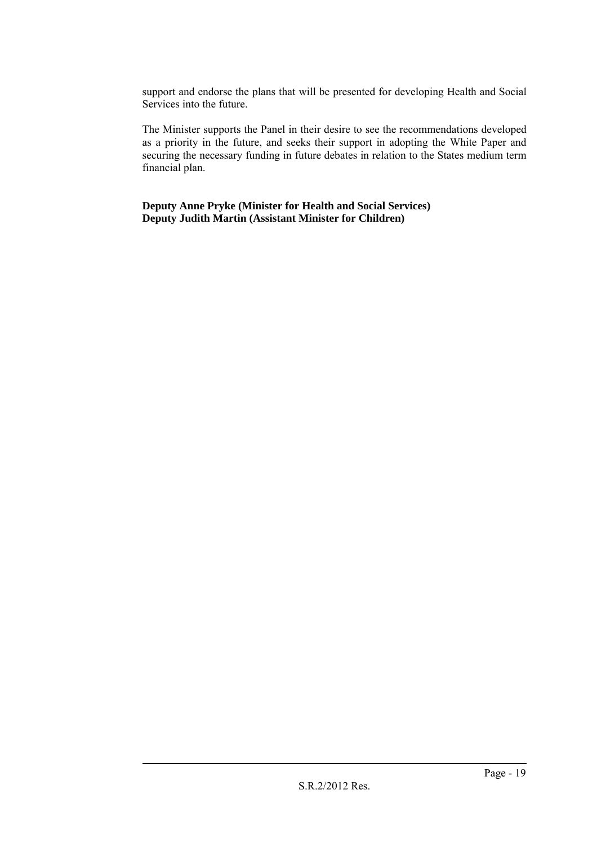support and endorse the plans that will be presented for developing Health and Social Services into the future.

The Minister supports the Panel in their desire to see the recommendations developed as a priority in the future, and seeks their support in adopting the White Paper and securing the necessary funding in future debates in relation to the States medium term financial plan.

**Deputy Anne Pryke (Minister for Health and Social Services) Deputy Judith Martin (Assistant Minister for Children)**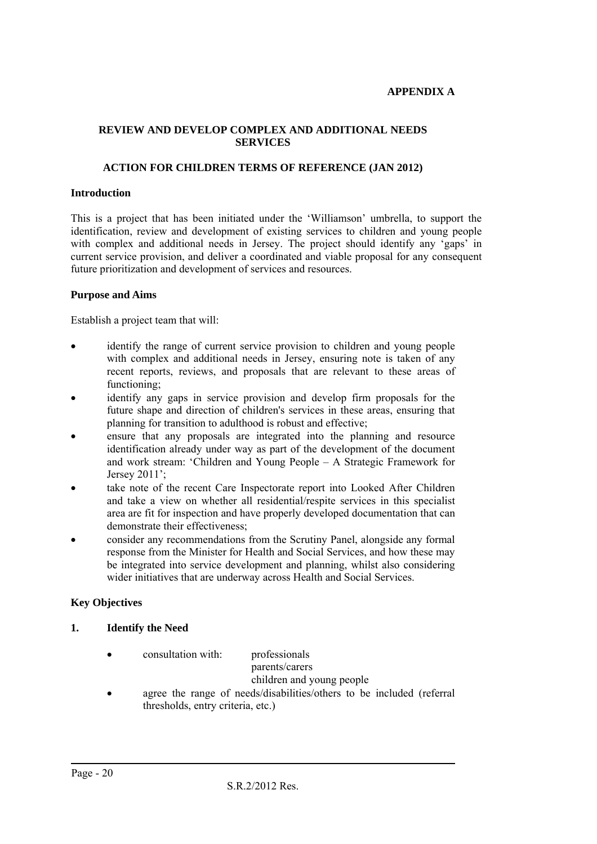#### **APPENDIX A**

#### **REVIEW AND DEVELOP COMPLEX AND ADDITIONAL NEEDS SERVICES**

#### **ACTION FOR CHILDREN TERMS OF REFERENCE (JAN 2012)**

#### **Introduction**

This is a project that has been initiated under the 'Williamson' umbrella, to support the identification, review and development of existing services to children and young people with complex and additional needs in Jersey. The project should identify any 'gaps' in current service provision, and deliver a coordinated and viable proposal for any consequent future prioritization and development of services and resources.

#### **Purpose and Aims**

Establish a project team that will:

- identify the range of current service provision to children and young people with complex and additional needs in Jersey, ensuring note is taken of any recent reports, reviews, and proposals that are relevant to these areas of functioning;
- identify any gaps in service provision and develop firm proposals for the future shape and direction of children's services in these areas, ensuring that planning for transition to adulthood is robust and effective;
- ensure that any proposals are integrated into the planning and resource identification already under way as part of the development of the document and work stream: 'Children and Young People – A Strategic Framework for Jersey 2011';
- take note of the recent Care Inspectorate report into Looked After Children and take a view on whether all residential/respite services in this specialist area are fit for inspection and have properly developed documentation that can demonstrate their effectiveness;
- consider any recommendations from the Scrutiny Panel, alongside any formal response from the Minister for Health and Social Services, and how these may be integrated into service development and planning, whilst also considering wider initiatives that are underway across Health and Social Services.

#### **Key Objectives**

#### **1. Identify the Need**

consultation with: professionals

parents/carers

children and young people

 agree the range of needs/disabilities/others to be included (referral thresholds, entry criteria, etc.)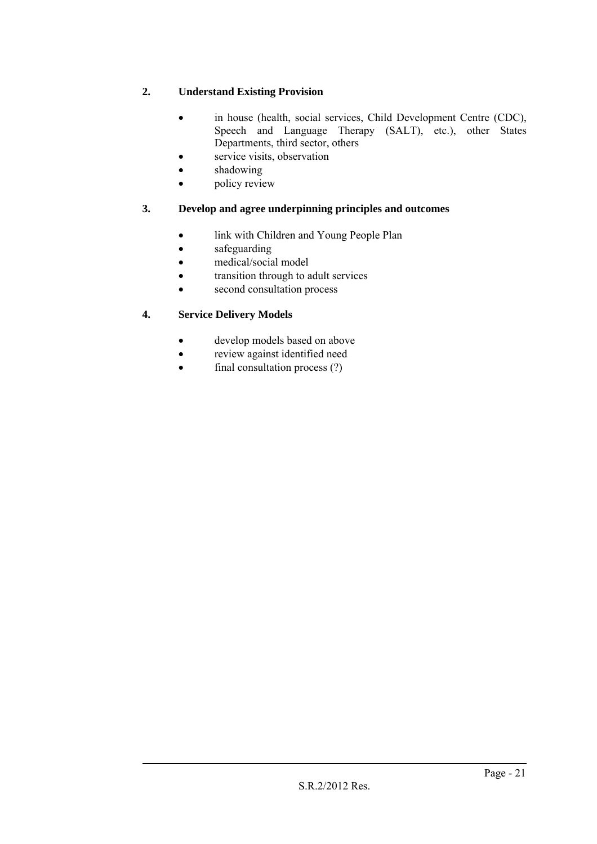# **2. Understand Existing Provision**

- in house (health, social services, Child Development Centre (CDC), Speech and Language Therapy (SALT), etc.), other States Departments, third sector, others
- service visits, observation
- shadowing
- policy review

## **3. Develop and agree underpinning principles and outcomes**

- link with Children and Young People Plan
- safeguarding
- medical/social model
- transition through to adult services
- second consultation process

### **4. Service Delivery Models**

- develop models based on above
- review against identified need
- final consultation process (?)